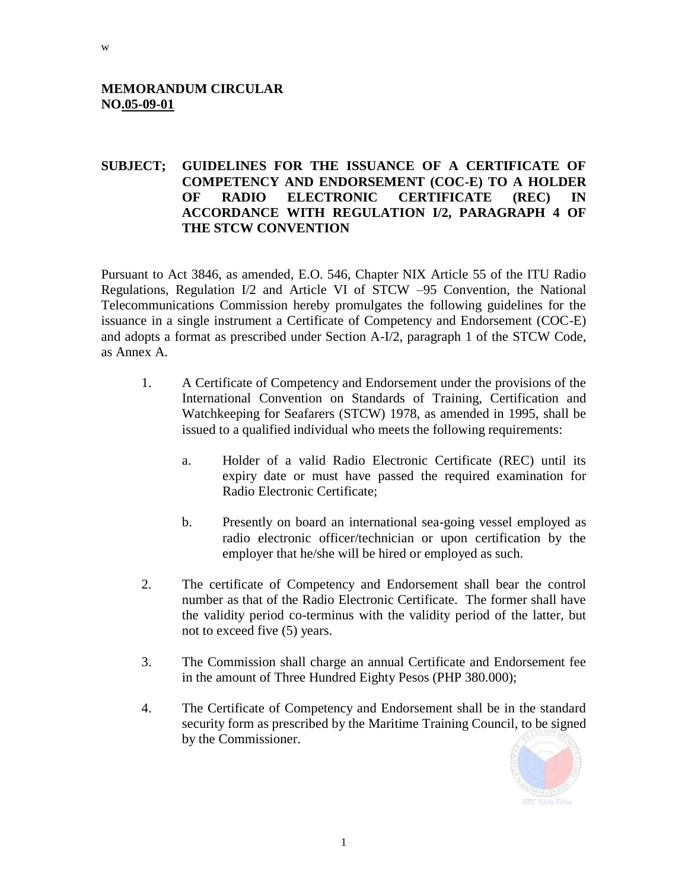## **MEMORANDUM CIRCULAR NO.05-09-01**

## **SUBJECT; GUIDELINES FOR THE ISSUANCE OF A CERTIFICATE OF COMPETENCY AND ENDORSEMENT (COC-E) TO A HOLDER OF RADIO ELECTRONIC CERTIFICATE (REC) IN ACCORDANCE WITH REGULATION I/2, PARAGRAPH 4 OF THE STCW CONVENTION**

Pursuant to Act 3846, as amended, E.O. 546, Chapter NIX Article 55 of the ITU Radio Regulations, Regulation I/2 and Article VI of STCW –95 Convention, the National Telecommunications Commission hereby promulgates the following guidelines for the issuance in a single instrument a Certificate of Competency and Endorsement (COC-E) and adopts a format as prescribed under Section A-I/2, paragraph 1 of the STCW Code, as Annex A.

- 1. A Certificate of Competency and Endorsement under the provisions of the International Convention on Standards of Training, Certification and Watchkeeping for Seafarers (STCW) 1978, as amended in 1995, shall be issued to a qualified individual who meets the following requirements:
	- a. Holder of a valid Radio Electronic Certificate (REC) until its expiry date or must have passed the required examination for Radio Electronic Certificate;
	- b. Presently on board an international sea-going vessel employed as radio electronic officer/technician or upon certification by the employer that he/she will be hired or employed as such.
- 2. The certificate of Competency and Endorsement shall bear the control number as that of the Radio Electronic Certificate. The former shall have the validity period co-terminus with the validity period of the latter, but not to exceed five (5) years.
- 3. The Commission shall charge an annual Certificate and Endorsement fee in the amount of Three Hundred Eighty Pesos (PHP 380.000);
- 4. The Certificate of Competency and Endorsement shall be in the standard security form as prescribed by the Maritime Training Council, to be signed by the Commissioner.